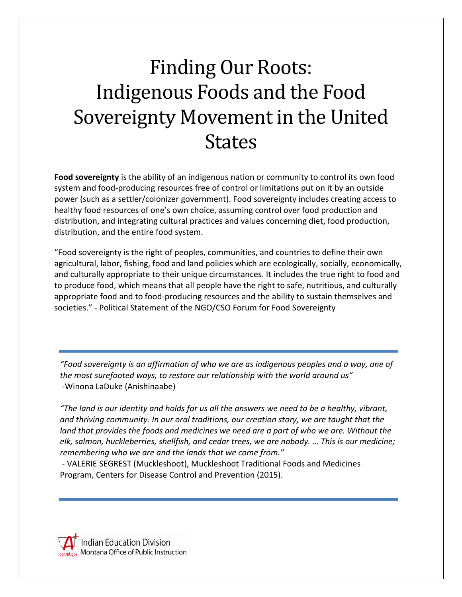## Finding Our Roots: Indigenous Foods and the Food Sovereignty Movement in the United States

**Food sovereignty** is the ability of an indigenous nation or community to control its own food system and food-producing resources free of control or limitations put on it by an outside power (such as a settler/colonizer government). Food sovereignty includes creating access to healthy food resources of one's own choice, assuming control over food production and distribution, and integrating cultural practices and values concerning diet, food production, distribution, and the entire food system.

"Food sovereignty is the right of peoples, communities, and countries to define their own agricultural, labor, fishing, food and land policies which are ecologically, socially, economically, and culturally appropriate to their unique circumstances. It includes the true right to food and to produce food, which means that all people have the right to safe, nutritious, and culturally appropriate food and to food-producing resources and the ability to sustain themselves and societies." - Political Statement of the NGO/CSO Forum for Food Sovereignty

*"Food sovereignty is an affirmation of who we are as indigenous peoples and a way, one of the most surefooted ways, to restore our relationship with the world around us"*  -Winona LaDuke (Anishinaabe)

*"The land is our identity and holds for us all the answers we need to be a healthy, vibrant, and thriving community. In our oral traditions, our creation story, we are taught that the*  land that provides the foods and medicines we need are a part of who we are. Without the *elk, salmon, huckleberries, shellfish, and cedar trees, we are nobody. … This is our medicine; remembering who we are and the lands that we come from."*

- VALERIE SEGREST (Muckleshoot), Muckleshoot Traditional Foods and Medicines Program, Centers for Disease Control and Prevention (2015).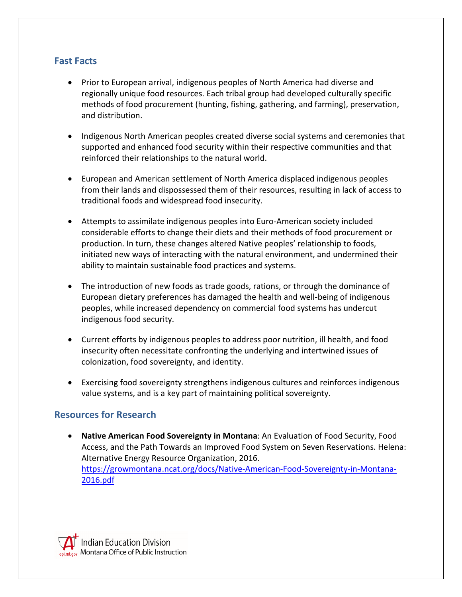## **Fast Facts**

- Prior to European arrival, indigenous peoples of North America had diverse and regionally unique food resources. Each tribal group had developed culturally specific methods of food procurement (hunting, fishing, gathering, and farming), preservation, and distribution.
- Indigenous North American peoples created diverse social systems and ceremonies that supported and enhanced food security within their respective communities and that reinforced their relationships to the natural world.
- European and American settlement of North America displaced indigenous peoples from their lands and dispossessed them of their resources, resulting in lack of access to traditional foods and widespread food insecurity.
- Attempts to assimilate indigenous peoples into Euro-American society included considerable efforts to change their diets and their methods of food procurement or production. In turn, these changes altered Native peoples' relationship to foods, initiated new ways of interacting with the natural environment, and undermined their ability to maintain sustainable food practices and systems.
- The introduction of new foods as trade goods, rations, or through the dominance of European dietary preferences has damaged the health and well-being of indigenous peoples, while increased dependency on commercial food systems has undercut indigenous food security.
- Current efforts by indigenous peoples to address poor nutrition, ill health, and food insecurity often necessitate confronting the underlying and intertwined issues of colonization, food sovereignty, and identity.
- Exercising food sovereignty strengthens indigenous cultures and reinforces indigenous value systems, and is a key part of maintaining political sovereignty.

## **Resources for Research**

• **Native American Food Sovereignty in Montana**: An Evaluation of Food Security, Food Access, and the Path Towards an Improved Food System on Seven Reservations. Helena: Alternative Energy Resource Organization, 2016. [https://growmontana.ncat.org/docs/Native-American-Food-Sovereignty-in-Montana-](https://growmontana.ncat.org/docs/Native-American-Food-Sovereignty-in-Montana-2016.pdf)[2016.pdf](https://growmontana.ncat.org/docs/Native-American-Food-Sovereignty-in-Montana-2016.pdf)